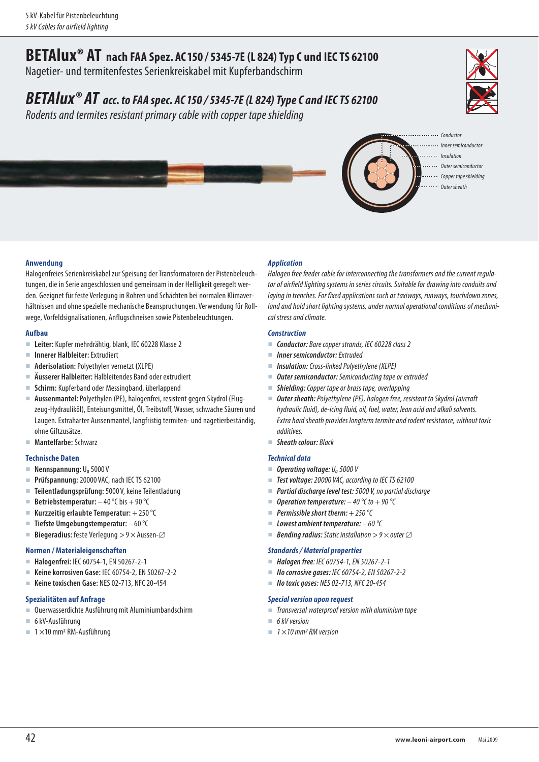# **BETAlux® AT nach FAA Spez. AC150 / 5345-7E (L 824) Typ C und IEC TS 62100**

Nagetier- und termitenfestes Serienkreiskabel mit Kupferbandschirm

## *BETAlux® AT acc. to FAA spec. AC150 / 5345-7E (L 824) Type C and IEC TS 62100*

Rodents and termites resistant primary cable with copper tape shielding





- 
- Inner semiconductor Insulation
- Outer semiconductor
- Copper tape shielding
- Outer sheath

#### **Anwendung**

Halogenfreies Serienkreiskabel zur Speisung der Transformatoren der Pistenbeleuchtungen, die in Serie angeschlossen und gemeinsam in der Helligkeit geregelt werden. Geeignet für feste Verlegung in Rohren und Schächten bei normalen Klimaverhältnissen und ohne spezielle mechanische Beanspruchungen. Verwendung für Rollwege, Vorfeld signalisationen, Anflugschneisen sowie Pistenbeleuchtungen.

#### **Aufbau**

- **Leiter:** Kupfer mehrdrähtig, blank, IEC 60228 Klasse 2
- **Innerer Halbleiter:** Extrudiert
- **Aderisolation:** Polyethylen vernetzt **(**XLPE)
- **Äusserer Halbleiter:** Halbleitendes Band oder extrudiert
- **Schirm:** Kupferband oder Messingband, überlappend
- **Aussenmantel:** Polyethylen (PE), halogenfrei, resistent gegen Skydrol (Flugzeug-Hydrauliköl), Enteisungsmittel, Öl, Treibstoff, Wasser, schwache Säuren und Laugen. Extraharter Aussenmantel, langfristig termiten- und nagetierbeständig, ohne Giftzusätze.
- **Mantelfarbe:** Schwarz

#### **Technische Daten**

- **Nennspannung: U<sub>0</sub> 5000 V**
- **Prüfspannung:** 20000 VAC, nach IEC TS 62100
- **Teilentladungsprüfung:** 5000 V, keine Teilentladung
- **Betriebstemperatur:**  $-40^{\circ}$ C bis  $+90^{\circ}$ C
- Kurzzeitig erlaubte Temperatur: +250 °C
- **Tiefste Umgebungstemperatur:**  60 °C
- **Biegeradius:** feste Verlegung  $> 9 \times$  Aussen- $\varnothing$

#### **Normen / Materialeigenschaften**

- **Halogenfrei:** IEC 60754-1, EN 50267-2-1
- **Keine korrosiven Gase:** IEC 60754-2, EN 50267-2-2
- **Keine toxischen Gase:** NES 02-713, NFC 20-454

#### **Spezialitäten auf Anfrage**

- Querwasserdichte Ausführung mit Aluminiumbandschirm
- 6 kV-Ausführung
- $\blacksquare$  1 × 10 mm<sup>2</sup> RM-Ausführung

#### *Application*

Halogen free feeder cable for interconnecting the transformers and the current regulator of airfield lighting systems in series circuits. Suitable for drawing into conduits and laying in trenches. For fixed applications such as taxiways, runways, touchdown zones, land and hold short lighting systems, under normal operational conditions of mechanical stress and climate.

#### *Construction*

- **Conductor:** Bare copper strands, IEC 60228 class 2
- *Inner semiconductor:* Extruded
- *Insulation:* Cross-linked Polyethylene (XLPE)
- *Outer semiconductor:* Semiconducting tape or extruded
- *Shielding:* Copper tape or brass tape, overlapping
- **Outer sheath:** Polyethylene (PE), halogen free, resistant to Skydrol (aircraft hydraulic fluid), de-icing fluid, oil, fuel, water, lean acid and alkali solvents. Extra hard sheath provides longterm termite and rodent resistance, without toxic additives.
- **Sheath colour:** Black

#### *Technical data*

- $\blacksquare$  **Operating voltage:**  $U_0$  5000 V
- *Test voltage:* 20000 VAC, according to IEC TS 62100
- *Partial discharge level test:* 5000 V, no partial discharge
- *Operation temperature:*  $-40$  °C to  $+90$  °C
- *Permissible short therm:* + 250 °C
- *Lowest ambient temperature:* 60 °C
- **Bending radius:** Static installation  $> 9 \times$  outer  $\varnothing$

#### *Standards / Material properties*

- *Halogen free*: IEC 60754-1, EN 50267-2-1
- *No corrosive gases:* IEC 60754-2, EN 50267-2-2
- *No toxic gases:* NES 02-713, NFC 20-454

#### *Special version upon request*

- Transversal waterproof version with aluminium tape
- $6$  kV version
	- $\blacksquare$  1 × 10 mm<sup>2</sup> RM version